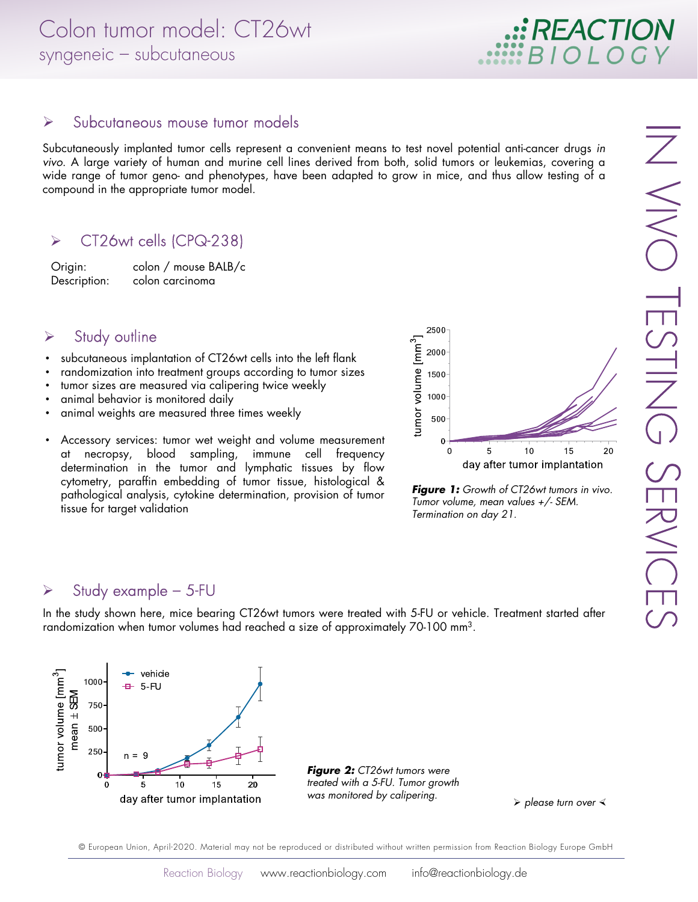Subcutaneously implanted tumor cells represent a convenient means to test novel potential anti-cancer drugs in vivo. A large variety of human and murine cell lines derived from both, solid tumors or leukemias, covering a wide range of tumor geno- and phenotypes, have been adapted to grow in mice, and thus allow testing of a compound in the appropriate tumor model.

# CT26wt cells (CPQ-238)

Origin: colon / mouse BALB/c Description: colon carcinoma

#### $\triangleright$  Study outline

- subcutaneous implantation of CT26wt cells into the left flank
- randomization into treatment groups according to tumor sizes
- tumor sizes are measured via calipering twice weekly
- animal behavior is monitored daily
- animal weights are measured three times weekly
- Accessory services: tumor wet weight and volume measurement at necropsy, blood sampling, immune cell frequency determination in the tumor and lymphatic tissues by flow cytometry, paraffin embedding of tumor tissue, histological & pathological analysis, cytokine determination, provision of tumor tissue for target validation



**Figure 1:** Growth of CT26wt tumors in vivo. Tumor volume, mean values +/- SEM. Termination on day 21.

### $\triangleright$  Study example – 5-FU

In the study shown here, mice bearing CT26wt tumors were treated with 5-FU or vehicle. Treatment started after randomization when tumor volumes had reached a size of approximately 70-100 mm3.



**Figure 2: CT26wt tumors were** treated with a 5-FU. Tumor growth was monitored by calipering.

 $\triangleright$  please turn over  $\triangleleft$ 

© European Union, April-2020. Material may not be reproduced or distributed without written permission from Reaction Biology Europe GmbH

**: REACTION**